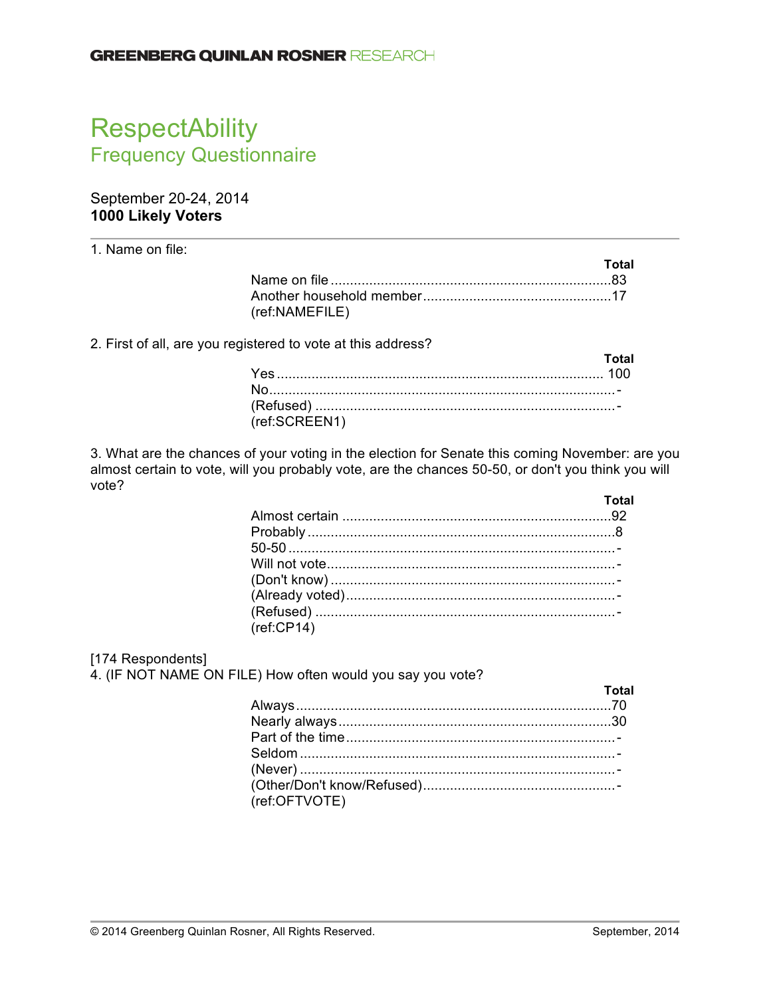# **RespectAbility** Frequency Questionnaire

# September 20-24, 2014 **1000 Likely Voters**

1. Name on file:

|                | Total |
|----------------|-------|
|                |       |
|                |       |
| (ref:NAMEFILE) |       |

2. First of all, are you registered to vote at this address?

|               | <b>Total</b> |
|---------------|--------------|
|               |              |
|               |              |
|               |              |
| (ref:SCREEN1) |              |

3. What are the chances of your voting in the election for Senate this coming November: are you almost certain to vote, will you probably vote, are the chances 50-50, or don't you think you will vote?

|            | Total |
|------------|-------|
|            |       |
|            |       |
|            |       |
|            |       |
|            |       |
|            |       |
|            |       |
| (ref:CP14) |       |

## [174 Respondents]

4. (IF NOT NAME ON FILE) How often would you say you vote?

|               | <b>Example 2018</b> Total |
|---------------|---------------------------|
|               |                           |
|               |                           |
|               |                           |
|               |                           |
|               |                           |
|               |                           |
| (ref:OFTVOTE) |                           |
|               |                           |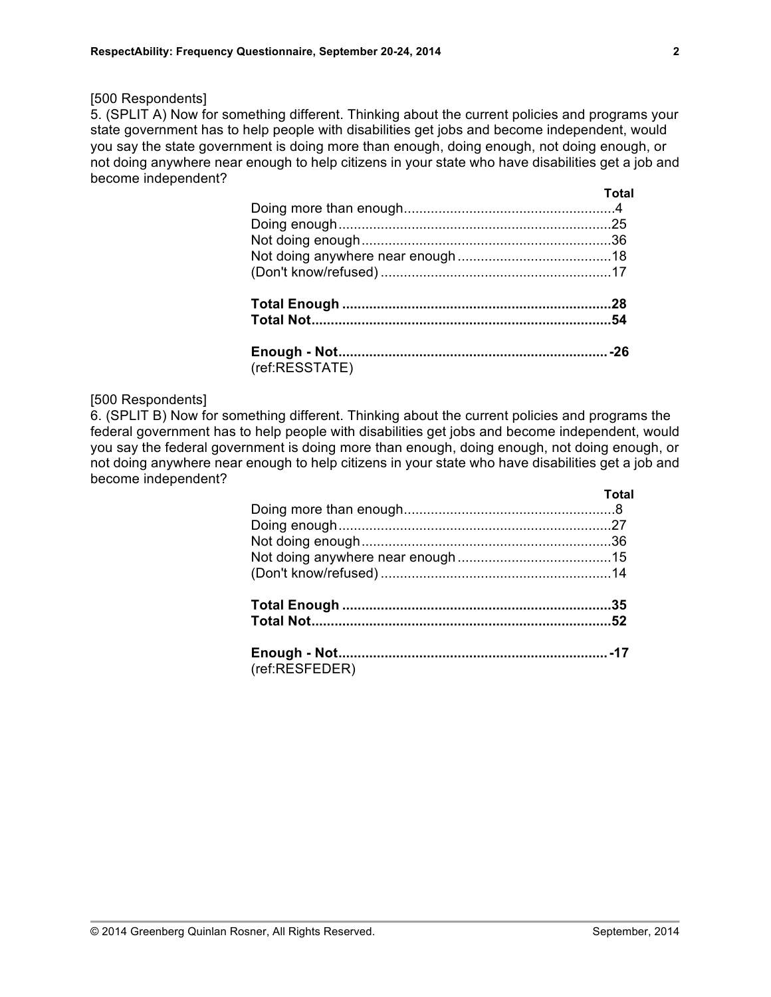5. (SPLIT A) Now for something different. Thinking about the current policies and programs your state government has to help people with disabilities get jobs and become independent, would you say the state government is doing more than enough, doing enough, not doing enough, or not doing anywhere near enough to help citizens in your state who have disabilities get a job and become independent? **Total**

|                | . |
|----------------|---|
|                |   |
|                |   |
|                |   |
|                |   |
|                |   |
|                |   |
|                |   |
|                |   |
| (ref:RESSTATE) |   |

#### [500 Respondents]

6. (SPLIT B) Now for something different. Thinking about the current policies and programs the federal government has to help people with disabilities get jobs and become independent, would you say the federal government is doing more than enough, doing enough, not doing enough, or not doing anywhere near enough to help citizens in your state who have disabilities get a job and become independent? **Total**

|                | l vlai |
|----------------|--------|
|                |        |
|                |        |
|                |        |
|                |        |
|                |        |
|                |        |
|                |        |
|                |        |
| (ref:RESFEDER) |        |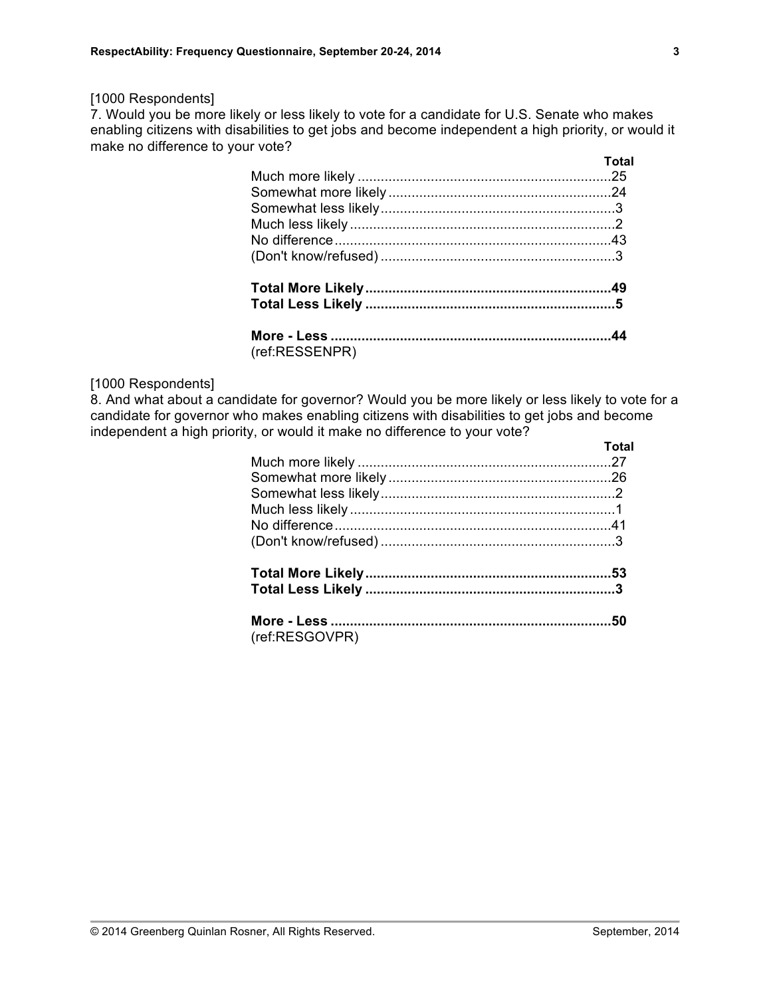7. Would you be more likely or less likely to vote for a candidate for U.S. Senate who makes enabling citizens with disabilities to get jobs and become independent a high priority, or would it make no difference to your vote? **Total**

|                | тотаг |
|----------------|-------|
|                |       |
|                |       |
|                |       |
|                |       |
|                |       |
|                |       |
|                |       |
|                |       |
|                |       |
| (ref:RESSENPR) |       |

#### [1000 Respondents]

8. And what about a candidate for governor? Would you be more likely or less likely to vote for a candidate for governor who makes enabling citizens with disabilities to get jobs and become independent a high priority, or would it make no difference to your vote? **Total**

| (ref:RESGOVPR) |  |
|----------------|--|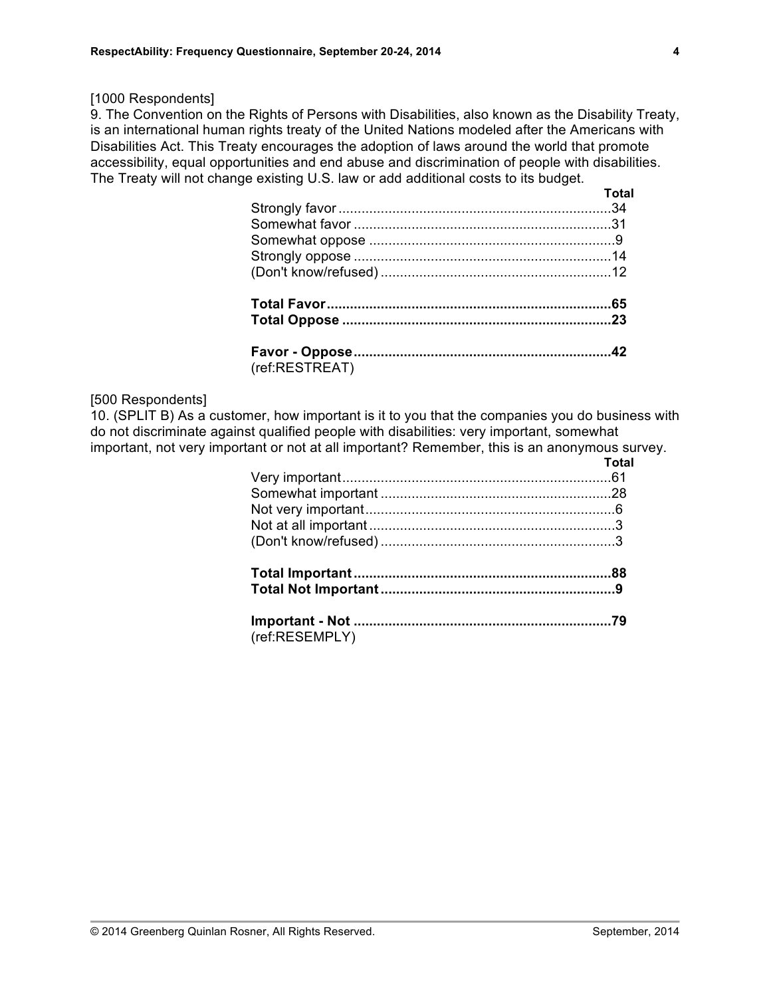9. The Convention on the Rights of Persons with Disabilities, also known as the Disability Treaty, is an international human rights treaty of the United Nations modeled after the Americans with Disabilities Act. This Treaty encourages the adoption of laws around the world that promote accessibility, equal opportunities and end abuse and discrimination of people with disabilities. The Treaty will not change existing U.S. law or add additional costs to its budget.

|                | <b>Total</b> |
|----------------|--------------|
|                |              |
|                |              |
|                |              |
|                |              |
|                |              |
|                |              |
|                |              |
|                |              |
| (ref:RESTREAT) |              |

## [500 Respondents]

10. (SPLIT B) As a customer, how important is it to you that the companies you do business with do not discriminate against qualified people with disabilities: very important, somewhat important, not very important or not at all important? Remember, this is an anonymous survey.

|                | Total |
|----------------|-------|
|                |       |
|                |       |
|                |       |
|                |       |
|                |       |
|                |       |
|                |       |
|                |       |
| (ref:RESEMPLY) |       |

**4**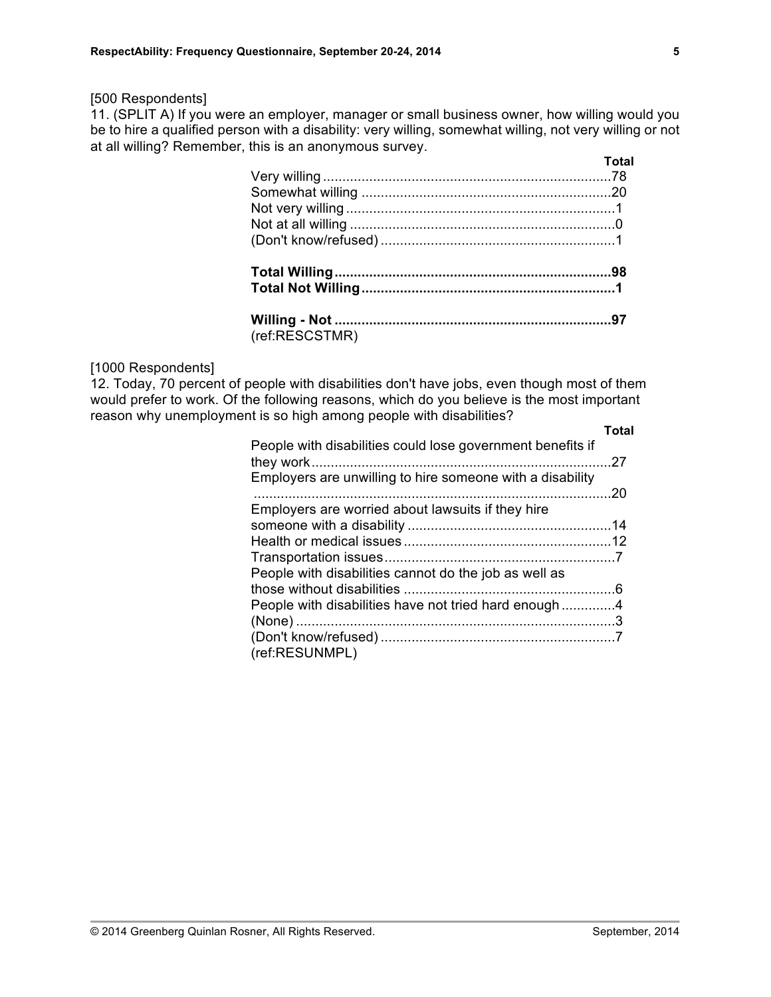11. (SPLIT A) If you were an employer, manager or small business owner, how willing would you be to hire a qualified person with a disability: very willing, somewhat willing, not very willing or not at all willing? Remember, this is an anonymous survey. **Total**

|                | TOLAI |
|----------------|-------|
|                |       |
|                |       |
|                |       |
|                |       |
|                |       |
|                |       |
|                |       |
|                |       |
| (ref:RESCSTMR) |       |

## [1000 Respondents]

12. Today, 70 percent of people with disabilities don't have jobs, even though most of them would prefer to work. Of the following reasons, which do you believe is the most important reason why unemployment is so high among people with disabilities? **Total**

|                                                            | ושיי |
|------------------------------------------------------------|------|
| People with disabilities could lose government benefits if |      |
| Employers are unwilling to hire someone with a disability  |      |
|                                                            | .20  |
| Employers are worried about lawsuits if they hire          |      |
|                                                            |      |
|                                                            |      |
|                                                            |      |
| People with disabilities cannot do the job as well as      |      |
|                                                            |      |
| People with disabilities have not tried hard enough4       |      |
|                                                            |      |
|                                                            |      |
| (ref:RESUNMPL)                                             |      |
|                                                            |      |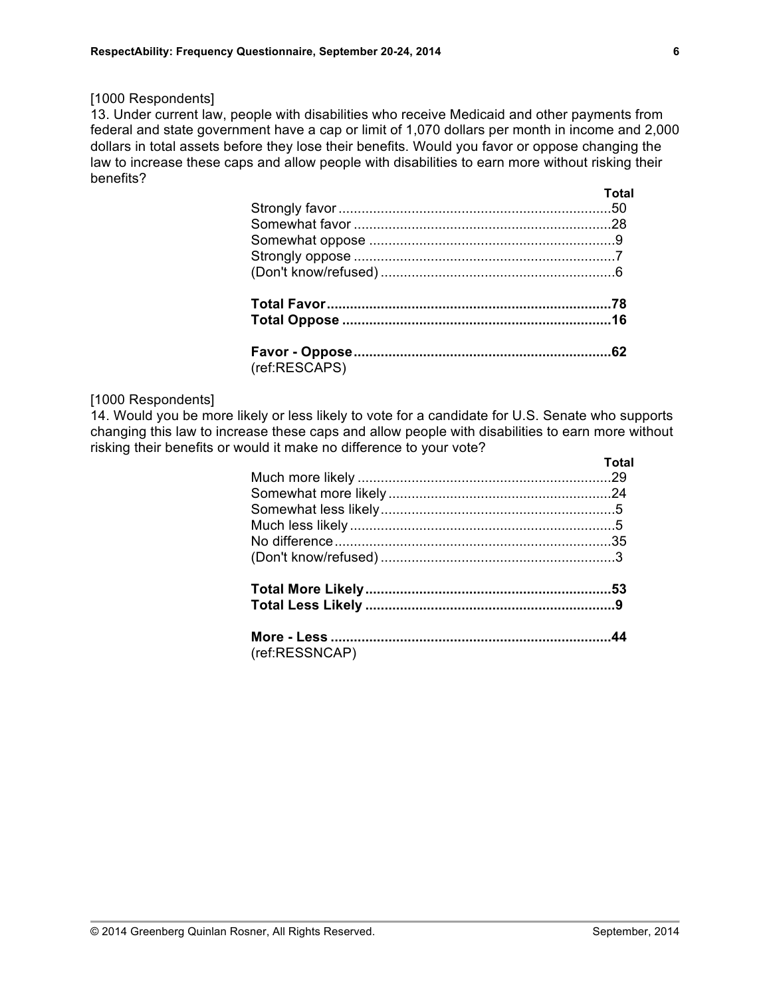13. Under current law, people with disabilities who receive Medicaid and other payments from federal and state government have a cap or limit of 1,070 dollars per month in income and 2,000 dollars in total assets before they lose their benefits. Would you favor or oppose changing the law to increase these caps and allow people with disabilities to earn more without risking their benefits? **Total**

|               | . . v . a |
|---------------|-----------|
|               |           |
|               |           |
|               |           |
|               |           |
|               |           |
|               |           |
|               |           |
|               |           |
| (ref:RESCAPS) |           |

#### [1000 Respondents]

14. Would you be more likely or less likely to vote for a candidate for U.S. Senate who supports changing this law to increase these caps and allow people with disabilities to earn more without risking their benefits or would it make no difference to your vote?

|                | Total |
|----------------|-------|
|                |       |
|                |       |
|                |       |
|                |       |
|                |       |
|                |       |
|                |       |
|                |       |
|                |       |
| (ref:RESSNCAP) |       |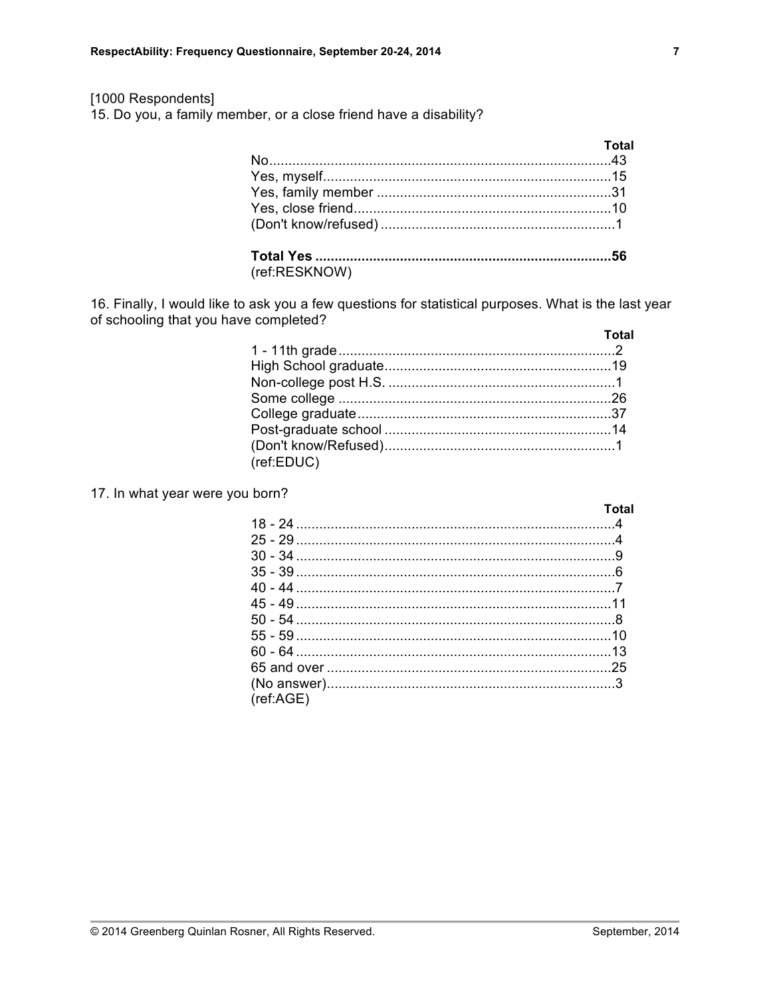15. Do you, a family member, or a close friend have a disability?

| Total |
|-------|
|       |
|       |
|       |
|       |
|       |
|       |

(ref:RESKNOW)

16. Finally, I would like to ask you a few questions for statistical purposes. What is the last year of schooling that you have completed?

|            | Total |
|------------|-------|
|            |       |
|            |       |
|            |       |
|            |       |
|            |       |
|            |       |
| (ref:EDUC) |       |

#### 17. In what year were you born?

|           | Total |
|-----------|-------|
|           |       |
|           |       |
|           |       |
|           |       |
|           |       |
|           |       |
|           |       |
|           |       |
|           |       |
|           |       |
|           |       |
| (ref:AGE) |       |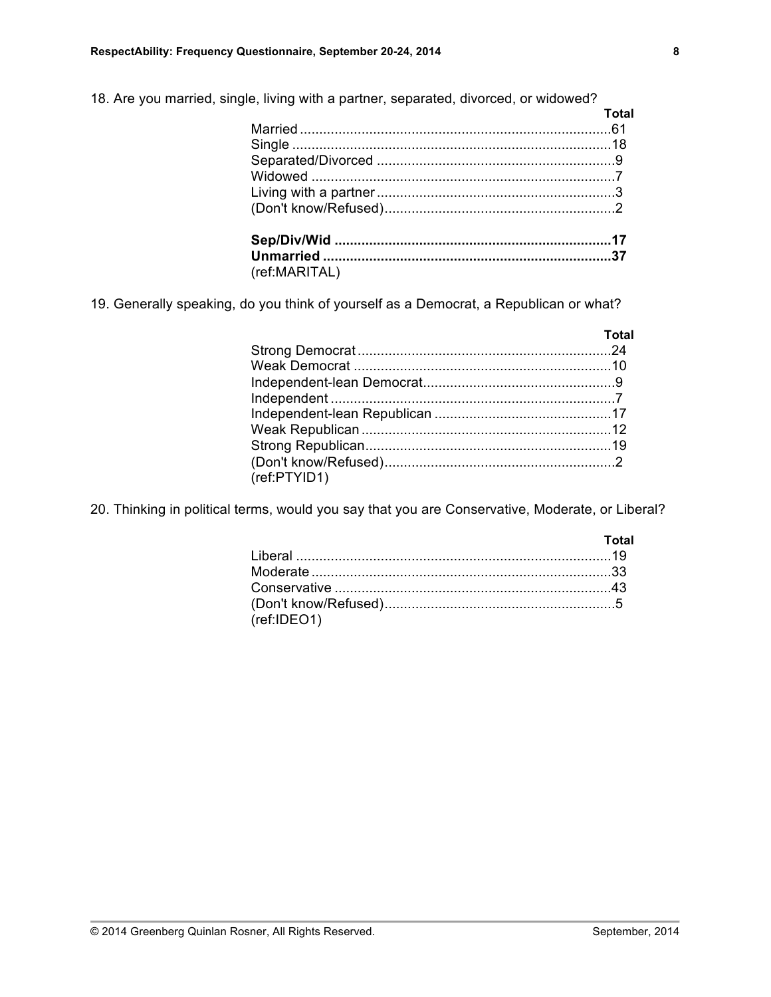18. Are you married, single, living with a partner, separated, divorced, or widowed?

|               | <b>Total</b> |
|---------------|--------------|
|               |              |
|               |              |
|               |              |
|               |              |
|               |              |
|               |              |
|               |              |
|               |              |
| (ref:MARITAL) |              |

19. Generally speaking, do you think of yourself as a Democrat, a Republican or what?

|              | Total |
|--------------|-------|
|              |       |
|              |       |
|              |       |
|              |       |
|              |       |
|              |       |
|              |       |
|              |       |
| (ref:PTYID1) |       |

20. Thinking in political terms, would you say that you are Conservative, Moderate, or Liberal?

|             | <u>and the contract of the Total</u> |
|-------------|--------------------------------------|
|             |                                      |
|             |                                      |
|             |                                      |
| (ref:IDEO1) |                                      |